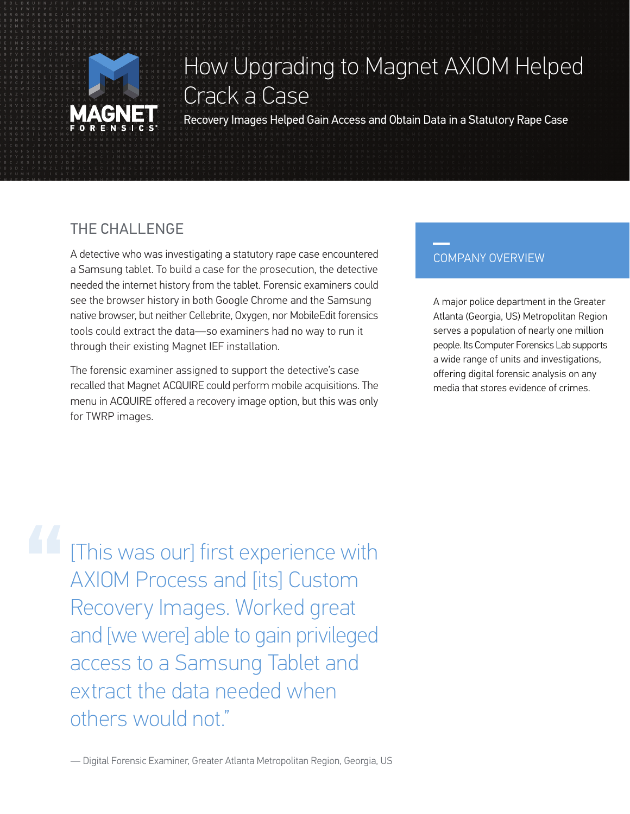

# How Upgrading to Magnet AXIOM Helped Crack a Case

Recovery Images Helped Gain Access and Obtain Data in a Statutory Rape Case

## THE CHALLENGE

A detective who was investigating a statutory rape case encountered a Samsung tablet. To build a case for the prosecution, the detective needed the internet history from the tablet. Forensic examiners could see the browser history in both Google Chrome and the Samsung native browser, but neither Cellebrite, Oxygen, nor MobileEdit forensics tools could extract the data—so examiners had no way to run it through their existing Magnet IEF installation.

The forensic examiner assigned to support the detective's case recalled that Magnet ACQUIRE could perform mobile acquisitions. The menu in ACQUIRE offered a recovery image option, but this was only for TWRP images.

### COMPANY OVERVIEW

A major police department in the Greater Atlanta (Georgia, US) Metropolitan Region serves a population of nearly one million people. Its Computer Forensics Lab supports a wide range of units and investigations, offering digital forensic analysis on any media that stores evidence of crimes.

**11** [This was our] first experience with AXIOM Process and [its] Custom Recovery Images. Worked great and [we were] able to gain privileged access to a Samsung Tablet and extract the data needed when others would not."

— Digital Forensic Examiner, Greater Atlanta Metropolitan Region, Georgia, US